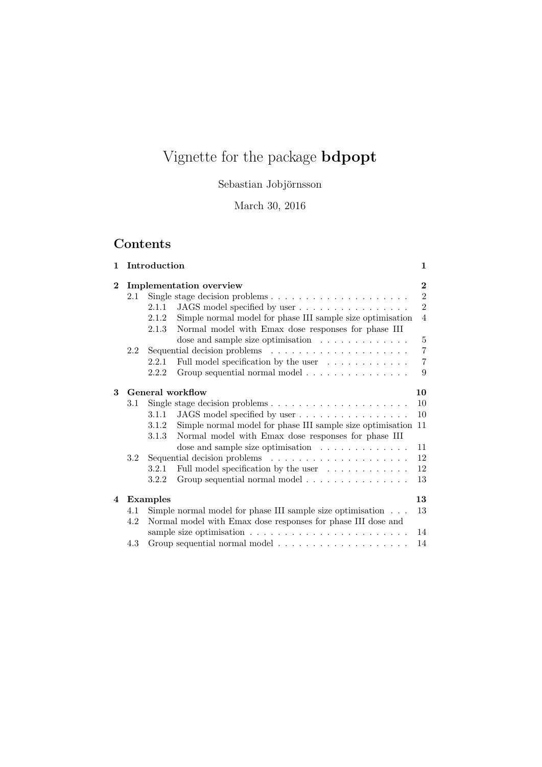# Vignette for the package bdpopt

Sebastian Jobjörnsson

March 30, 2016

# Contents

| 1.             | Introduction |                                                                             |                                                                            | $\mathbf{1}$   |
|----------------|--------------|-----------------------------------------------------------------------------|----------------------------------------------------------------------------|----------------|
| $\bf{2}$       |              | Implementation overview                                                     |                                                                            |                |
| 2.1            |              |                                                                             | Single stage decision problems $\dots \dots \dots \dots \dots \dots \dots$ | $\overline{2}$ |
|                |              | 2.1.1                                                                       | JAGS model specified by user                                               | $\overline{2}$ |
|                |              | 2.1.2                                                                       | Simple normal model for phase III sample size optimisation                 | $\overline{4}$ |
|                |              | 2.1.3                                                                       | Normal model with Emax dose responses for phase III                        |                |
|                |              |                                                                             | dose and sample size optimisation                                          | 5              |
|                | 2.2          |                                                                             |                                                                            | 7              |
|                |              | Full model specification by the user $\ldots \ldots \ldots \ldots$<br>2.2.1 |                                                                            | $\overline{7}$ |
|                |              | 2.2.2                                                                       | Group sequential normal model                                              | 9              |
| 3              |              | General workflow                                                            |                                                                            |                |
|                | 3.1          |                                                                             | Single stage decision problems $\dots \dots \dots \dots \dots \dots \dots$ | 10             |
|                |              | 3.1.1                                                                       | JAGS model specified by user                                               | 10             |
|                |              | 3.1.2                                                                       | Simple normal model for phase III sample size optimisation 11              |                |
|                |              | 3.1.3                                                                       | Normal model with Emax dose responses for phase III                        |                |
|                |              |                                                                             | dose and sample size optimisation $\ldots \ldots \ldots \ldots$            | 11             |
|                | 3.2          |                                                                             |                                                                            | 12             |
|                |              | 3.2.1                                                                       | Full model specification by the user $\ldots \ldots \ldots \ldots$         | 12             |
|                |              | 3.2.2                                                                       | Group sequential normal model                                              | 13             |
| $\overline{4}$ | Examples     |                                                                             |                                                                            | 13             |
|                | 4.1          | Simple normal model for phase III sample size optimisation                  |                                                                            |                |
|                | 4.2          | Normal model with Emax dose responses for phase III dose and                |                                                                            |                |
|                |              |                                                                             |                                                                            |                |
|                | 4.3          |                                                                             |                                                                            |                |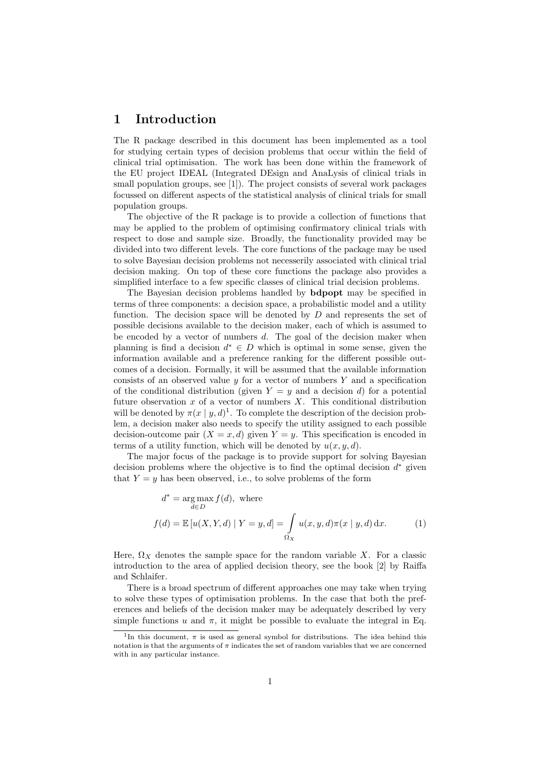## 1 Introduction

The R package described in this document has been implemented as a tool for studying certain types of decision problems that occur within the field of clinical trial optimisation. The work has been done within the framework of the EU project IDEAL (Integrated DEsign and AnaLysis of clinical trials in small population groups, see [1]). The project consists of several work packages focussed on different aspects of the statistical analysis of clinical trials for small population groups.

The objective of the R package is to provide a collection of functions that may be applied to the problem of optimising confirmatory clinical trials with respect to dose and sample size. Broadly, the functionality provided may be divided into two different levels. The core functions of the package may be used to solve Bayesian decision problems not necesserily associated with clinical trial decision making. On top of these core functions the package also provides a simplified interface to a few specific classes of clinical trial decision problems.

The Bayesian decision problems handled by bdpopt may be specified in terms of three components: a decision space, a probabilistic model and a utility function. The decision space will be denoted by  $D$  and represents the set of possible decisions available to the decision maker, each of which is assumed to be encoded by a vector of numbers  $d$ . The goal of the decision maker when planning is find a decision  $d^* \in D$  which is optimal in some sense, given the information available and a preference ranking for the different possible outcomes of a decision. Formally, it will be assumed that the available information consists of an observed value  $y$  for a vector of numbers  $Y$  and a specification of the conditional distribution (given  $Y = y$  and a decision d) for a potential future observation  $x$  of a vector of numbers  $X$ . This conditional distribution will be denoted by  $\pi(x \mid y, d)^{1}$ . To complete the description of the decision problem, a decision maker also needs to specify the utility assigned to each possible decision-outcome pair  $(X = x, d)$  given  $Y = y$ . This specification is encoded in terms of a utility function, which will be denoted by  $u(x, y, d)$ .

The major focus of the package is to provide support for solving Bayesian decision problems where the objective is to find the optimal decision  $d^*$  given that  $Y = y$  has been observed, i.e., to solve problems of the form

$$
d^* = \underset{d \in D}{\arg \max} f(d), \text{ where}
$$
  

$$
f(d) = \mathbb{E}[u(X, Y, d) | Y = y, d] = \int_{\Omega_X} u(x, y, d) \pi(x | y, d) dx.
$$
 (1)

Here,  $\Omega_X$  denotes the sample space for the random variable X. For a classic introduction to the area of applied decision theory, see the book [2] by Raiffa and Schlaifer.

There is a broad spectrum of different approaches one may take when trying to solve these types of optimisation problems. In the case that both the preferences and beliefs of the decision maker may be adequately described by very simple functions u and  $\pi$ , it might be possible to evaluate the integral in Eq.

<sup>&</sup>lt;sup>1</sup>In this document,  $\pi$  is used as general symbol for distributions. The idea behind this notation is that the arguments of  $\pi$  indicates the set of random variables that we are concerned with in any particular instance.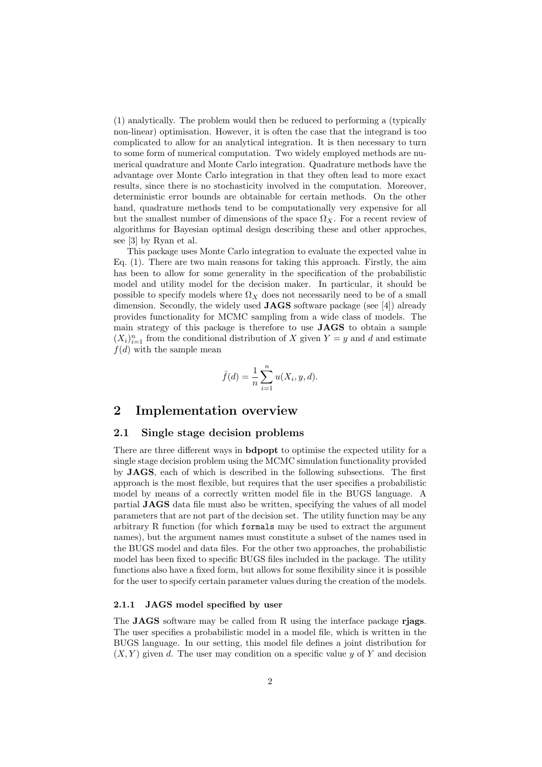(1) analytically. The problem would then be reduced to performing a (typically non-linear) optimisation. However, it is often the case that the integrand is too complicated to allow for an analytical integration. It is then necessary to turn to some form of numerical computation. Two widely employed methods are numerical quadrature and Monte Carlo integration. Quadrature methods have the advantage over Monte Carlo integration in that they often lead to more exact results, since there is no stochasticity involved in the computation. Moreover, deterministic error bounds are obtainable for certain methods. On the other hand, quadrature methods tend to be computationally very expensive for all but the smallest number of dimensions of the space  $\Omega_X$ . For a recent review of algorithms for Bayesian optimal design describing these and other approches, see [3] by Ryan et al.

This package uses Monte Carlo integration to evaluate the expected value in Eq. (1). There are two main reasons for taking this approach. Firstly, the aim has been to allow for some generality in the specification of the probabilistic model and utility model for the decision maker. In particular, it should be possible to specify models where  $\Omega_X$  does not necessarily need to be of a small dimension. Secondly, the widely used **JAGS** software package (see [4]) already provides functionality for MCMC sampling from a wide class of models. The main strategy of this package is therefore to use JAGS to obtain a sample  $(X_i)_{i=1}^n$  from the conditional distribution of X given  $Y = y$  and d and estimate  $f(d)$  with the sample mean

$$
\hat{f}(d) = \frac{1}{n} \sum_{i=1}^{n} u(X_i, y, d).
$$

## 2 Implementation overview

#### 2.1 Single stage decision problems

There are three different ways in bdpopt to optimise the expected utility for a single stage decision problem using the MCMC simulation functionality provided by JAGS, each of which is described in the following subsections. The first approach is the most flexible, but requires that the user specifies a probabilistic model by means of a correctly written model file in the BUGS language. A partial JAGS data file must also be written, specifying the values of all model parameters that are not part of the decision set. The utility function may be any arbitrary R function (for which formals may be used to extract the argument names), but the argument names must constitute a subset of the names used in the BUGS model and data files. For the other two approaches, the probabilistic model has been fixed to specific BUGS files included in the package. The utility functions also have a fixed form, but allows for some flexibility since it is possible for the user to specify certain parameter values during the creation of the models.

#### 2.1.1 JAGS model specified by user

The **JAGS** software may be called from R using the interface package riags. The user specifies a probabilistic model in a model file, which is written in the BUGS language. In our setting, this model file defines a joint distribution for  $(X, Y)$  given d. The user may condition on a specific value y of Y and decision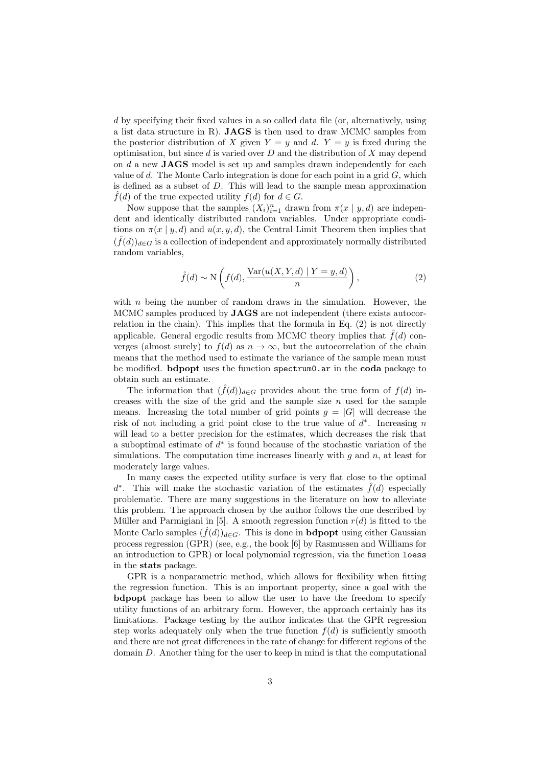d by specifying their fixed values in a so called data file (or, alternatively, using a list data structure in R). JAGS is then used to draw MCMC samples from the posterior distribution of X given  $Y = y$  and d.  $Y = y$  is fixed during the optimisation, but since  $d$  is varied over  $D$  and the distribution of  $X$  may depend on  $d$  a new **JAGS** model is set up and samples drawn independently for each value of d. The Monte Carlo integration is done for each point in a grid  $G$ , which is defined as a subset of D. This will lead to the sample mean approximation  $\tilde{f}(d)$  of the true expected utility  $f(d)$  for  $d \in G$ .

Now suppose that the samples  $(X_i)_{i=1}^n$  drawn from  $\pi(x | y, d)$  are independent and identically distributed random variables. Under appropriate conditions on  $\pi(x \mid y, d)$  and  $u(x, y, d)$ , the Central Limit Theorem then implies that  $(\hat{f}(d))_{d\in G}$  is a collection of independent and approximately normally distributed random variables,

$$
\hat{f}(d) \sim \mathcal{N}\left(f(d), \frac{\text{Var}(u(X, Y, d) \mid Y = y, d)}{n}\right),\tag{2}
$$

with  $n$  being the number of random draws in the simulation. However, the MCMC samples produced by JAGS are not independent (there exists autocorrelation in the chain). This implies that the formula in Eq. (2) is not directly applicable. General ergodic results from MCMC theory implies that  $\hat{f}(d)$  converges (almost surely) to  $f(d)$  as  $n \to \infty$ , but the autocorrelation of the chain means that the method used to estimate the variance of the sample mean must be modified. **bdpopt** uses the function spectrum0.ar in the coda package to obtain such an estimate.

The information that  $(\hat{f}(d))_{d\in G}$  provides about the true form of  $f(d)$  increases with the size of the grid and the sample size  $n$  used for the sample means. Increasing the total number of grid points  $g = |G|$  will decrease the risk of not including a grid point close to the true value of  $d^*$ . Increasing n will lead to a better precision for the estimates, which decreases the risk that a suboptimal estimate of  $d^*$  is found because of the stochastic variation of the simulations. The computation time increases linearly with  $g$  and  $n$ , at least for moderately large values.

In many cases the expected utility surface is very flat close to the optimal d<sup>\*</sup>. This will make the stochastic variation of the estimates  $\hat{f}(d)$  especially problematic. There are many suggestions in the literature on how to alleviate this problem. The approach chosen by the author follows the one described by Müller and Parmigiani in [5]. A smooth regression function  $r(d)$  is fitted to the Monte Carlo samples  $(\hat{f}(d))_{d\in G}$ . This is done in **bdpopt** using either Gaussian process regression (GPR) (see, e.g., the book [6] by Rasmussen and Williams for an introduction to GPR) or local polynomial regression, via the function loess in the stats package.

GPR is a nonparametric method, which allows for flexibility when fitting the regression function. This is an important property, since a goal with the bdpopt package has been to allow the user to have the freedom to specify utility functions of an arbitrary form. However, the approach certainly has its limitations. Package testing by the author indicates that the GPR regression step works adequately only when the true function  $f(d)$  is sufficiently smooth and there are not great differences in the rate of change for different regions of the domain D. Another thing for the user to keep in mind is that the computational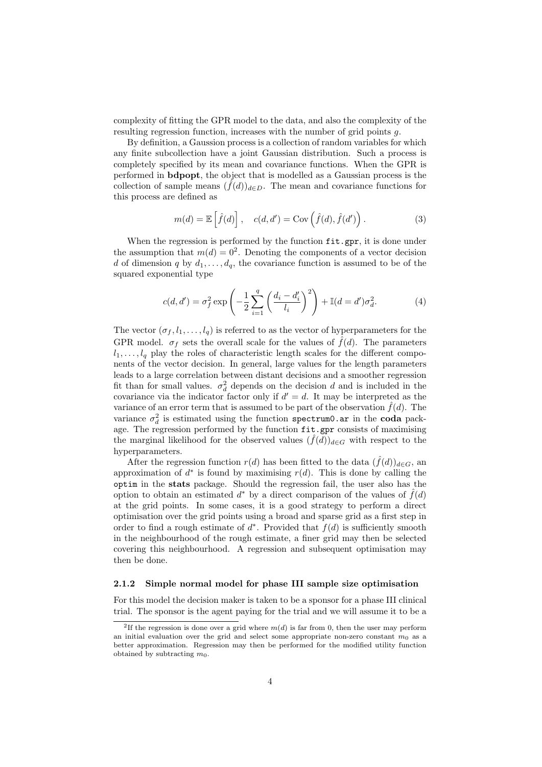complexity of fitting the GPR model to the data, and also the complexity of the resulting regression function, increases with the number of grid points g.

By definition, a Gaussion process is a collection of random variables for which any finite subcollection have a joint Gaussian distribution. Such a process is completely specified by its mean and covariance functions. When the GPR is performed in bdpopt, the object that is modelled as a Gaussian process is the collection of sample means  $(f(d))_{d\in D}$ . The mean and covariance functions for this process are defined as

$$
m(d) = \mathbb{E}\left[\hat{f}(d)\right], \quad c(d, d') = \text{Cov}\left(\hat{f}(d), \hat{f}(d')\right). \tag{3}
$$

When the regression is performed by the function  $fit.gpr$ , it is done under the assumption that  $m(d) = 0^2$ . Denoting the components of a vector decision d of dimension q by  $d_1, \ldots, d_q$ , the covariance function is assumed to be of the squared exponential type

$$
c(d, d') = \sigma_f^2 \exp\left(-\frac{1}{2} \sum_{i=1}^q \left(\frac{d_i - d'_i}{l_i}\right)^2\right) + \mathbb{I}(d = d')\sigma_d^2.
$$
 (4)

The vector  $(\sigma_f, l_1, \ldots, l_q)$  is referred to as the vector of hyperparameters for the GPR model.  $\sigma_f$  sets the overall scale for the values of  $\hat{f}(d)$ . The parameters  $l_1, \ldots, l_q$  play the roles of characteristic length scales for the different components of the vector decision. In general, large values for the length parameters leads to a large correlation between distant decisions and a smoother regression fit than for small values.  $\sigma_d^2$  depends on the decision d and is included in the covariance via the indicator factor only if  $d' = d$ . It may be interpreted as the variance of an error term that is assumed to be part of the observation  $\hat{f}(d)$ . The variance  $\sigma_d^2$  is estimated using the function spectrum0.ar in the coda package. The regression performed by the function fit.gpr consists of maximising the marginal likelihood for the observed values  $(\hat{f}(d))_{d\in G}$  with respect to the hyperparameters.

After the regression function  $r(d)$  has been fitted to the data  $(\hat{f}(d))_{d\in G}$ , an approximation of  $d^*$  is found by maximising  $r(d)$ . This is done by calling the optim in the stats package. Should the regression fail, the user also has the option to obtain an estimated  $d^*$  by a direct comparison of the values of  $\hat{f}(d)$ at the grid points. In some cases, it is a good strategy to perform a direct optimisation over the grid points using a broad and sparse grid as a first step in order to find a rough estimate of  $d^*$ . Provided that  $f(d)$  is sufficiently smooth in the neighbourhood of the rough estimate, a finer grid may then be selected covering this neighbourhood. A regression and subsequent optimisation may then be done.

#### 2.1.2 Simple normal model for phase III sample size optimisation

For this model the decision maker is taken to be a sponsor for a phase III clinical trial. The sponsor is the agent paying for the trial and we will assume it to be a

<sup>&</sup>lt;sup>2</sup>If the regression is done over a grid where  $m(d)$  is far from 0, then the user may perform an initial evaluation over the grid and select some appropriate non-zero constant  $m_0$  as a better approximation. Regression may then be performed for the modified utility function obtained by subtracting  $m_0$ .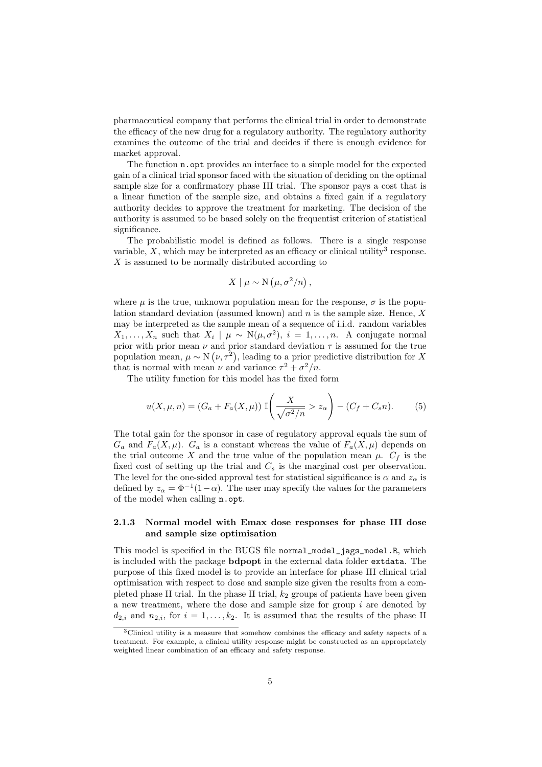pharmaceutical company that performs the clinical trial in order to demonstrate the efficacy of the new drug for a regulatory authority. The regulatory authority examines the outcome of the trial and decides if there is enough evidence for market approval.

The function n.opt provides an interface to a simple model for the expected gain of a clinical trial sponsor faced with the situation of deciding on the optimal sample size for a confirmatory phase III trial. The sponsor pays a cost that is a linear function of the sample size, and obtains a fixed gain if a regulatory authority decides to approve the treatment for marketing. The decision of the authority is assumed to be based solely on the frequentist criterion of statistical significance.

The probabilistic model is defined as follows. There is a single response variable,  $X$ , which may be interpreted as an efficacy or clinical utility<sup>3</sup> response.  $X$  is assumed to be normally distributed according to

$$
X \mid \mu \sim \mathcal{N}\left(\mu, \sigma^2/n\right),
$$

where  $\mu$  is the true, unknown population mean for the response,  $\sigma$  is the population standard deviation (assumed known) and  $n$  is the sample size. Hence,  $X$ may be interpreted as the sample mean of a sequence of i.i.d. random variables  $X_1, \ldots, X_n$  such that  $X_i \mid \mu \sim N(\mu, \sigma^2), i = 1, \ldots, n$ . A conjugate normal prior with prior mean  $\nu$  and prior standard deviation  $\tau$  is assumed for the true population mean,  $\mu \sim N(\nu, \tau^2)$ , leading to a prior predictive distribution for X that is normal with mean  $\nu$  and variance  $\tau^2 + \sigma^2/n$ .

The utility function for this model has the fixed form

$$
u(X,\mu,n) = (G_a + F_a(X,\mu)) \mathbb{I}\left(\frac{X}{\sqrt{\sigma^2/n}} > z_\alpha\right) - (C_f + C_s n). \tag{5}
$$

The total gain for the sponsor in case of regulatory approval equals the sum of  $G_a$  and  $F_a(X,\mu)$ .  $G_a$  is a constant whereas the value of  $F_a(X,\mu)$  depends on the trial outcome X and the true value of the population mean  $\mu$ .  $C_f$  is the fixed cost of setting up the trial and  $C_s$  is the marginal cost per observation. The level for the one-sided approval test for statistical significance is  $\alpha$  and  $z_{\alpha}$  is defined by  $z_{\alpha} = \Phi^{-1}(1-\alpha)$ . The user may specify the values for the parameters of the model when calling n.opt.

#### 2.1.3 Normal model with Emax dose responses for phase III dose and sample size optimisation

This model is specified in the BUGS file normal\_model\_jags\_model.R, which is included with the package bdpopt in the external data folder extdata. The purpose of this fixed model is to provide an interface for phase III clinical trial optimisation with respect to dose and sample size given the results from a completed phase II trial. In the phase II trial,  $k_2$  groups of patients have been given a new treatment, where the dose and sample size for group  $i$  are denoted by  $d_{2,i}$  and  $n_{2,i}$ , for  $i = 1, \ldots, k_2$ . It is assumed that the results of the phase II

<sup>&</sup>lt;sup>3</sup>Clinical utility is a measure that somehow combines the efficacy and safety aspects of a treatment. For example, a clinical utility response might be constructed as an appropriately weighted linear combination of an efficacy and safety response.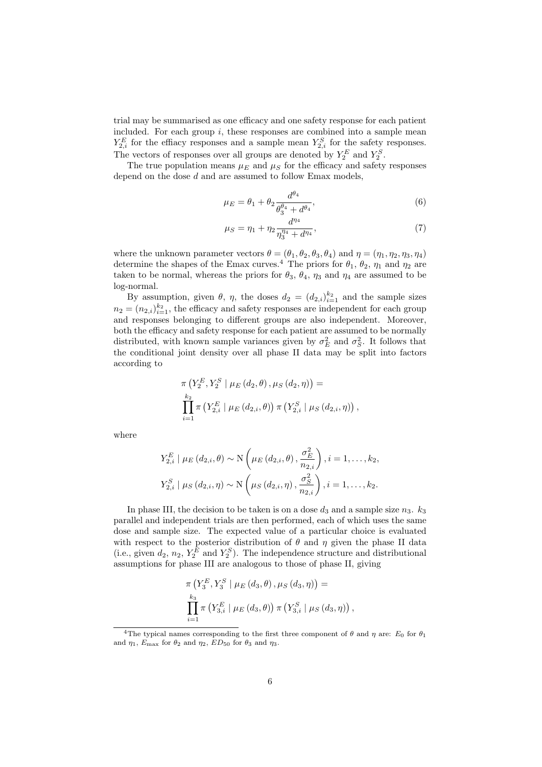trial may be summarised as one efficacy and one safety response for each patient included. For each group  $i$ , these responses are combined into a sample mean  $Y_{2,i}^E$  for the effiacy responses and a sample mean  $Y_{2,i}^S$  for the safety responses. The vectors of responses over all groups are denoted by  $Y_2^E$  and  $Y_2^S$ .

The true population means  $\mu_E$  and  $\mu_S$  for the efficacy and safety responses depend on the dose  $d$  and are assumed to follow Emax models,

$$
\mu_E = \theta_1 + \theta_2 \frac{d^{\theta_4}}{\theta_3^{\theta_4} + d^{\theta_4}},\tag{6}
$$

$$
\mu_S = \eta_1 + \eta_2 \frac{d^{\eta_4}}{\eta_3^{\eta_4} + d^{\eta_4}},\tag{7}
$$

where the unknown parameter vectors  $\theta = (\theta_1, \theta_2, \theta_3, \theta_4)$  and  $\eta = (\eta_1, \eta_2, \eta_3, \eta_4)$ determine the shapes of the Emax curves.<sup>4</sup> The priors for  $\theta_1$ ,  $\theta_2$ ,  $\eta_1$  and  $\eta_2$  are taken to be normal, whereas the priors for  $\theta_3$ ,  $\theta_4$ ,  $\eta_3$  and  $\eta_4$  are assumed to be log-normal.

By assumption, given  $\theta$ ,  $\eta$ , the doses  $d_2 = (d_{2,i})_{i=1}^{k_2}$  and the sample sizes  $n_2 = (n_{2,i})_{i=1}^{k_2}$ , the efficacy and safety responses are independent for each group and responses belonging to different groups are also independent. Moreover, both the efficacy and safety response for each patient are assumed to be normally distributed, with known sample variances given by  $\sigma_E^2$  and  $\sigma_S^2$ . It follows that the conditional joint density over all phase II data may be split into factors according to

$$
\pi\left(Y_{2}^{E}, Y_{2}^{S} \mid \mu_{E}\left(d_{2}, \theta\right), \mu_{S}\left(d_{2}, \eta\right)\right) = \prod_{i=1}^{k_{2}} \pi\left(Y_{2,i}^{E} \mid \mu_{E}\left(d_{2,i}, \theta\right)\right) \pi\left(Y_{2,i}^{S} \mid \mu_{S}\left(d_{2,i}, \eta\right)\right),
$$

where

$$
Y_{2,i}^{E} | \mu_{E} (d_{2,i}, \theta) \sim \mathcal{N} \left( \mu_{E} (d_{2,i}, \theta), \frac{\sigma_{E}^{2}}{n_{2,i}} \right), i = 1, ..., k_{2},
$$
  

$$
Y_{2,i}^{S} | \mu_{S} (d_{2,i}, \eta) \sim \mathcal{N} \left( \mu_{S} (d_{2,i}, \eta), \frac{\sigma_{S}^{2}}{n_{2,i}} \right), i = 1, ..., k_{2}.
$$

In phase III, the decision to be taken is on a dose  $d_3$  and a sample size  $n_3$ .  $k_3$ parallel and independent trials are then performed, each of which uses the same dose and sample size. The expected value of a particular choice is evaluated with respect to the posterior distribution of  $\theta$  and  $\eta$  given the phase II data (i.e., given  $d_2$ ,  $n_2$ ,  $Y_2^E$  and  $Y_2^S$ ). The independence structure and distributional assumptions for phase III are analogous to those of phase II, giving

$$
\pi\left(Y_3^E, Y_3^S \mid \mu_E(d_3, \theta), \mu_S(d_3, \eta)\right) =
$$
  

$$
\prod_{i=1}^{k_3} \pi\left(Y_{3,i}^E \mid \mu_E(d_3, \theta)\right) \pi\left(Y_{3,i}^S \mid \mu_S(d_3, \eta)\right),
$$

<sup>&</sup>lt;sup>4</sup>The typical names corresponding to the first three component of  $\theta$  and  $\eta$  are:  $E_0$  for  $\theta_1$ and  $\eta_1$ ,  $E_{\text{max}}$  for  $\theta_2$  and  $\eta_2$ ,  $ED_{50}$  for  $\theta_3$  and  $\eta_3$ .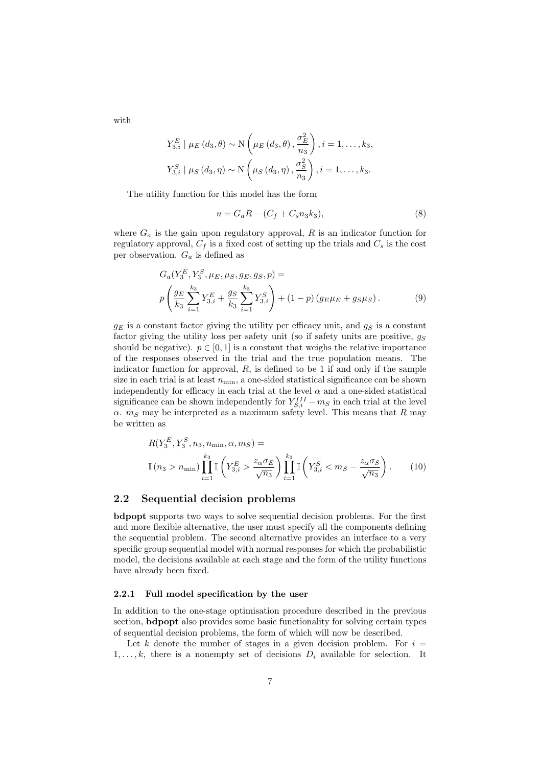with

$$
Y_{3,i}^{E} | \mu_E(d_3, \theta) \sim \mathcal{N}\left(\mu_E(d_3, \theta), \frac{\sigma_E^2}{n_3}\right), i = 1, \dots, k_3,
$$
  

$$
Y_{3,i}^{S} | \mu_S(d_3, \eta) \sim \mathcal{N}\left(\mu_S(d_3, \eta), \frac{\sigma_S^2}{n_3}\right), i = 1, \dots, k_3.
$$

The utility function for this model has the form

$$
u = G_a R - (C_f + C_s n_3 k_3), \tag{8}
$$

where  $G_a$  is the gain upon regulatory approval, R is an indicator function for regulatory approval,  $C_f$  is a fixed cost of setting up the trials and  $C_s$  is the cost per observation.  $G_a$  is defined as

$$
G_a(Y_3^E, Y_3^S, \mu_E, \mu_S, g_E, g_S, p) =
$$
  
\n
$$
p\left(\frac{g_E}{k_3} \sum_{i=1}^{k_3} Y_{3,i}^E + \frac{g_S}{k_3} \sum_{i=1}^{k_3} Y_{3,i}^S\right) + (1-p)\left(g_E\mu_E + g_S\mu_S\right).
$$
 (9)

 $g_E$  is a constant factor giving the utility per efficacy unit, and  $g_S$  is a constant factor giving the utility loss per safety unit (so if safety units are positive,  $q_S$ should be negative).  $p \in [0, 1]$  is a constant that weighs the relative importance of the responses observed in the trial and the true population means. The indicator function for approval,  $R$ , is defined to be 1 if and only if the sample size in each trial is at least  $n_{\min}$ , a one-sided statistical significance can be shown independently for efficacy in each trial at the level  $\alpha$  and a one-sided statistical significance can be shown independently for  $Y_{S,i}^{III} - m_S$  in each trial at the level  $\alpha$ .  $m<sub>S</sub>$  may be interpreted as a maximum safety level. This means that R may be written as

$$
R(Y_3^E, Y_3^S, n_3, n_{\min}, \alpha, m_S) =
$$
  

$$
\mathbb{I}(n_3 > n_{\min}) \prod_{i=1}^{k_3} \mathbb{I}\left(Y_{3,i}^E > \frac{z_{\alpha} \sigma_E}{\sqrt{n_3}}\right) \prod_{i=1}^{k_3} \mathbb{I}\left(Y_{3,i}^S < m_S - \frac{z_{\alpha} \sigma_S}{\sqrt{n_3}}\right).
$$
 (10)

#### 2.2 Sequential decision problems

bdpopt supports two ways to solve sequential decision problems. For the first and more flexible alternative, the user must specify all the components defining the sequential problem. The second alternative provides an interface to a very specific group sequential model with normal responses for which the probabilistic model, the decisions available at each stage and the form of the utility functions have already been fixed.

#### 2.2.1 Full model specification by the user

In addition to the one-stage optimisation procedure described in the previous section, **bdpopt** also provides some basic functionality for solving certain types of sequential decision problems, the form of which will now be described.

Let k denote the number of stages in a given decision problem. For  $i =$  $1, \ldots, k$ , there is a nonempty set of decisions  $D_i$  available for selection. It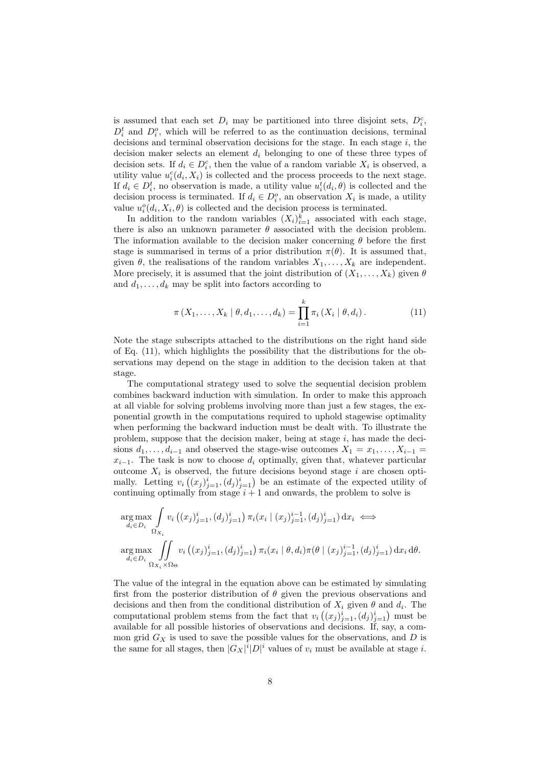is assumed that each set  $D_i$  may be partitioned into three disjoint sets,  $D_i^c$ ,  $D_i^t$  and  $D_i^o$ , which will be referred to as the continuation decisions, terminal decisions and terminal observation decisions for the stage. In each stage  $i$ , the decision maker selects an element  $d_i$  belonging to one of these three types of decision sets. If  $d_i \in D_i^c$ , then the value of a random variable  $X_i$  is observed, a utility value  $u_i^c(d_i, X_i)$  is collected and the process proceeds to the next stage. If  $d_i \in D_i^t$ , no observation is made, a utility value  $u_i^t(d_i, \theta)$  is collected and the decision process is terminated. If  $d_i \in D_i^o$ , an observation  $X_i$  is made, a utility value  $u_i^o(d_i, X_i, \theta)$  is collected and the decision process is terminated.

In addition to the random variables  $(X_i)_{i=1}^k$  associated with each stage, there is also an unknown parameter  $\theta$  associated with the decision problem. The information available to the decision maker concerning  $\theta$  before the first stage is summarised in terms of a prior distribution  $\pi(\theta)$ . It is assumed that, given  $\theta$ , the realisations of the random variables  $X_1, \ldots, X_k$  are independent. More precisely, it is assumed that the joint distribution of  $(X_1, \ldots, X_k)$  given  $\theta$ and  $d_1, \ldots, d_k$  may be split into factors according to

$$
\pi(X_1, ..., X_k | \theta, d_1, ..., d_k) = \prod_{i=1}^k \pi_i(X_i | \theta, d_i).
$$
 (11)

Note the stage subscripts attached to the distributions on the right hand side of Eq. (11), which highlights the possibility that the distributions for the observations may depend on the stage in addition to the decision taken at that stage.

The computational strategy used to solve the sequential decision problem combines backward induction with simulation. In order to make this approach at all viable for solving problems involving more than just a few stages, the exponential growth in the computations required to uphold stagewise optimality when performing the backward induction must be dealt with. To illustrate the problem, suppose that the decision maker, being at stage  $i$ , has made the decisions  $d_1, \ldots, d_{i-1}$  and observed the stage-wise outcomes  $X_1 = x_1, \ldots, X_{i-1}$  $x_{i-1}$ . The task is now to choose  $d_i$  optimally, given that, whatever particular outcome  $X_i$  is observed, the future decisions beyond stage i are chosen optimally. Letting  $v_i((x_j)_{j=1}^i,(d_j)_{j=1}^i)$  be an estimate of the expected utility of continuing optimally from stage  $i + 1$  and onwards, the problem to solve is

$$
\arg\max_{d_i \in D_i} \int_{\Omega_{X_i}} v_i \left( (x_j)_{j=1}^i, (d_j)_{j=1}^i \right) \pi_i (x_i \mid (x_j)_{j=1}^{i-1}, (d_j)_{j=1}^i) \, dx_i \iff
$$
\n
$$
\arg\max_{d_i \in D_i} \int_{\Omega_{X_i} \times \Omega_{\Theta}} v_i \left( (x_j)_{j=1}^i, (d_j)_{j=1}^i \right) \pi_i (x_i \mid \theta, d_i) \pi(\theta \mid (x_j)_{j=1}^{i-1}, (d_j)_{j=1}^i) \, dx_i \, d\theta.
$$

The value of the integral in the equation above can be estimated by simulating first from the posterior distribution of  $\theta$  given the previous observations and decisions and then from the conditional distribution of  $X_i$  given  $\theta$  and  $d_i$ . The computational problem stems from the fact that  $v_i((x_j)_{j=1}^i,(d_j)_{j=1}^i)$  must be available for all possible histories of observations and decisions. If, say, a common grid  $G_X$  is used to save the possible values for the observations, and  $D$  is the same for all stages, then  $|G_X|^i|D|^i$  values of  $v_i$  must be available at stage i.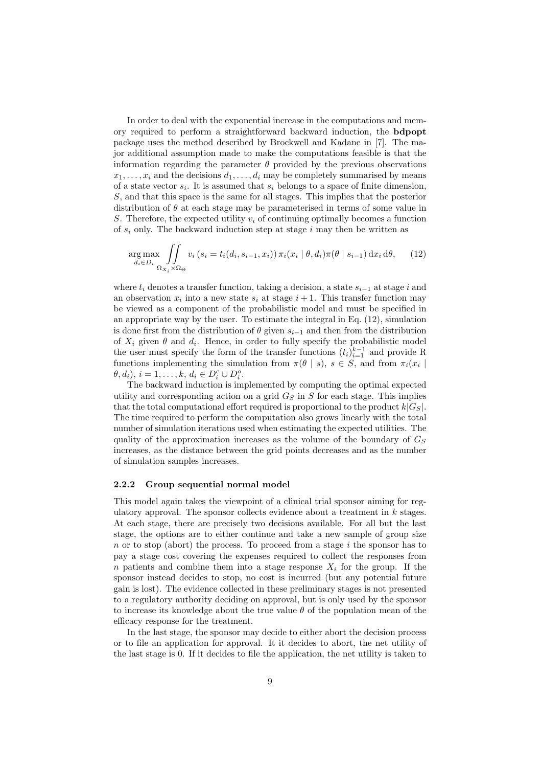In order to deal with the exponential increase in the computations and memory required to perform a straightforward backward induction, the bdpopt package uses the method described by Brockwell and Kadane in [7]. The major additional assumption made to make the computations feasible is that the information regarding the parameter  $\theta$  provided by the previous observations  $x_1, \ldots, x_i$  and the decisions  $d_1, \ldots, d_i$  may be completely summarised by means of a state vector  $s_i$ . It is assumed that  $s_i$  belongs to a space of finite dimension, S, and that this space is the same for all stages. This implies that the posterior distribution of  $\theta$  at each stage may be parameterised in terms of some value in S. Therefore, the expected utility  $v_i$  of continuing optimally becomes a function of  $s_i$  only. The backward induction step at stage i may then be written as

$$
\underset{d_i \in D_i}{\arg \max} \iint_{\Omega_{X_i} \times \Omega_{\Theta}} v_i \left(s_i = t_i(d_i, s_{i-1}, x_i)\right) \pi_i(x_i \mid \theta, d_i) \pi(\theta \mid s_{i-1}) \, dx_i \, d\theta,\tag{12}
$$

where  $t_i$  denotes a transfer function, taking a decision, a state  $s_{i-1}$  at stage i and an observation  $x_i$  into a new state  $s_i$  at stage  $i + 1$ . This transfer function may be viewed as a component of the probabilistic model and must be specified in an appropriate way by the user. To estimate the integral in Eq.  $(12)$ , simulation is done first from the distribution of  $\theta$  given  $s_{i-1}$  and then from the distribution of  $X_i$  given  $\theta$  and  $d_i$ . Hence, in order to fully specify the probabilistic model the user must specify the form of the transfer functions  $(t_i)_{i=1}^{k-1}$  and provide R functions implementing the simulation from  $\pi(\theta | s)$ ,  $s \in S$ , and from  $\pi_i(x_i | s)$  $\theta, d_i), i = 1, ..., k, d_i \in D_i^c \cup D_i^o.$ 

The backward induction is implemented by computing the optimal expected utility and corresponding action on a grid  $G<sub>S</sub>$  in S for each stage. This implies that the total computational effort required is proportional to the product  $k|G_{S}|$ . The time required to perform the computation also grows linearly with the total number of simulation iterations used when estimating the expected utilities. The quality of the approximation increases as the volume of the boundary of  $G<sub>S</sub>$ increases, as the distance between the grid points decreases and as the number of simulation samples increases.

#### 2.2.2 Group sequential normal model

This model again takes the viewpoint of a clinical trial sponsor aiming for regulatory approval. The sponsor collects evidence about a treatment in  $k$  stages. At each stage, there are precisely two decisions available. For all but the last stage, the options are to either continue and take a new sample of group size n or to stop (abort) the process. To proceed from a stage  $i$  the sponsor has to pay a stage cost covering the expenses required to collect the responses from n patients and combine them into a stage response  $X_i$  for the group. If the sponsor instead decides to stop, no cost is incurred (but any potential future gain is lost). The evidence collected in these preliminary stages is not presented to a regulatory authority deciding on approval, but is only used by the sponsor to increase its knowledge about the true value  $\theta$  of the population mean of the efficacy response for the treatment.

In the last stage, the sponsor may decide to either abort the decision process or to file an application for approval. It it decides to abort, the net utility of the last stage is 0. If it decides to file the application, the net utility is taken to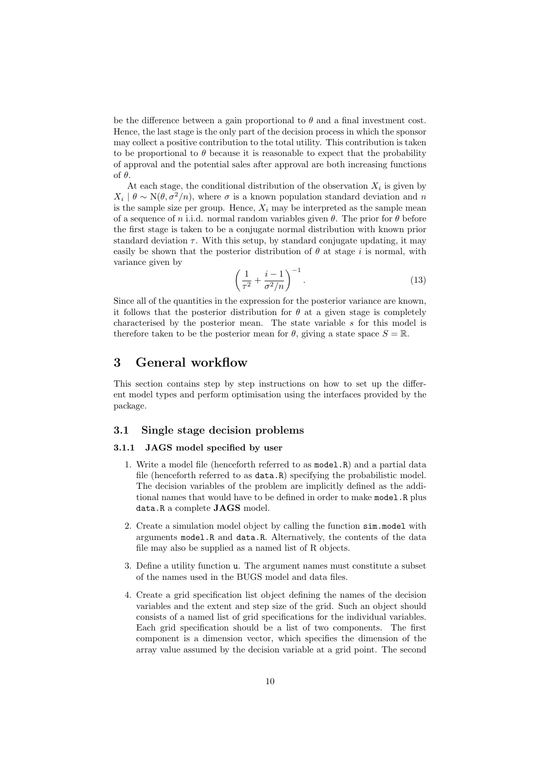be the difference between a gain proportional to  $\theta$  and a final investment cost. Hence, the last stage is the only part of the decision process in which the sponsor may collect a positive contribution to the total utility. This contribution is taken to be proportional to  $\theta$  because it is reasonable to expect that the probability of approval and the potential sales after approval are both increasing functions of θ.

At each stage, the conditional distribution of the observation  $X_i$  is given by  $X_i | \theta \sim N(\theta, \sigma^2/n)$ , where  $\sigma$  is a known population standard deviation and n is the sample size per group. Hence,  $X_i$  may be interpreted as the sample mean of a sequence of n i.i.d. normal random variables given  $\theta$ . The prior for  $\theta$  before the first stage is taken to be a conjugate normal distribution with known prior standard deviation  $\tau$ . With this setup, by standard conjugate updating, it may easily be shown that the posterior distribution of  $\theta$  at stage i is normal, with variance given by

$$
\left(\frac{1}{\tau^2} + \frac{i-1}{\sigma^2/n}\right)^{-1}.\tag{13}
$$

Since all of the quantities in the expression for the posterior variance are known, it follows that the posterior distribution for  $\theta$  at a given stage is completely characterised by the posterior mean. The state variable  $s$  for this model is therefore taken to be the posterior mean for  $\theta$ , giving a state space  $S = \mathbb{R}$ .

## 3 General workflow

This section contains step by step instructions on how to set up the different model types and perform optimisation using the interfaces provided by the package.

#### 3.1 Single stage decision problems

#### 3.1.1 JAGS model specified by user

- 1. Write a model file (henceforth referred to as model.R) and a partial data file (henceforth referred to as data.R) specifying the probabilistic model. The decision variables of the problem are implicitly defined as the additional names that would have to be defined in order to make model.R plus data.R a complete JAGS model.
- 2. Create a simulation model object by calling the function sim.model with arguments model.R and data.R. Alternatively, the contents of the data file may also be supplied as a named list of R objects.
- 3. Define a utility function u. The argument names must constitute a subset of the names used in the BUGS model and data files.
- 4. Create a grid specification list object defining the names of the decision variables and the extent and step size of the grid. Such an object should consists of a named list of grid specifications for the individual variables. Each grid specification should be a list of two components. The first component is a dimension vector, which specifies the dimension of the array value assumed by the decision variable at a grid point. The second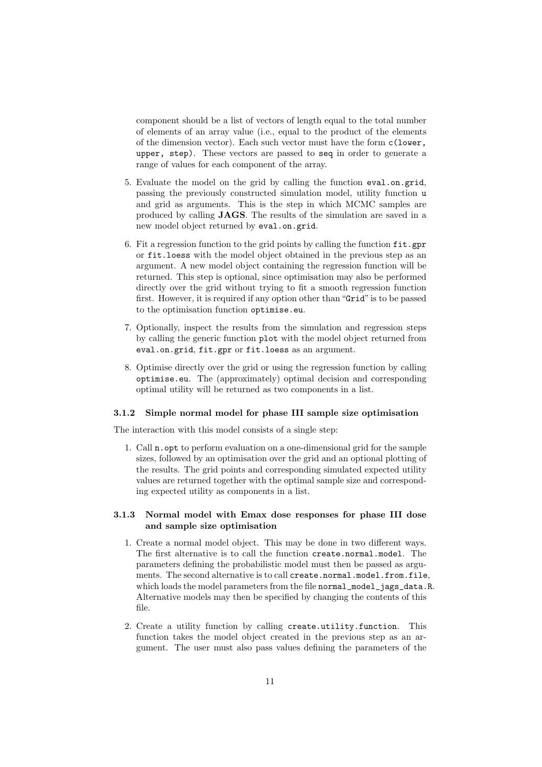component should be a list of vectors of length equal to the total number of elements of an array value (i.e., equal to the product of the elements of the dimension vector). Each such vector must have the form c(lower, upper, step). These vectors are passed to seq in order to generate a range of values for each component of the array.

- 5. Evaluate the model on the grid by calling the function eval.on.grid, passing the previously constructed simulation model, utility function u and grid as arguments. This is the step in which MCMC samples are produced by calling JAGS. The results of the simulation are saved in a new model object returned by eval.on.grid.
- 6. Fit a regression function to the grid points by calling the function  $fit.gpr$ or fit.loess with the model object obtained in the previous step as an argument. A new model object containing the regression function will be returned. This step is optional, since optimisation may also be performed directly over the grid without trying to fit a smooth regression function first. However, it is required if any option other than "Grid" is to be passed to the optimisation function optimise.eu.
- 7. Optionally, inspect the results from the simulation and regression steps by calling the generic function plot with the model object returned from eval.on.grid, fit.gpr or fit.loess as an argument.
- 8. Optimise directly over the grid or using the regression function by calling optimise.eu. The (approximately) optimal decision and corresponding optimal utility will be returned as two components in a list.

#### 3.1.2 Simple normal model for phase III sample size optimisation

The interaction with this model consists of a single step:

1. Call n.opt to perform evaluation on a one-dimensional grid for the sample sizes, followed by an optimisation over the grid and an optional plotting of the results. The grid points and corresponding simulated expected utility values are returned together with the optimal sample size and corresponding expected utility as components in a list.

## 3.1.3 Normal model with Emax dose responses for phase III dose and sample size optimisation

- 1. Create a normal model object. This may be done in two different ways. The first alternative is to call the function create.normal.model. The parameters defining the probabilistic model must then be passed as arguments. The second alternative is to call create.normal.model.from.file, which loads the model parameters from the file normal\_model\_jags\_data.R. Alternative models may then be specified by changing the contents of this file.
- 2. Create a utility function by calling create.utility.function. This function takes the model object created in the previous step as an argument. The user must also pass values defining the parameters of the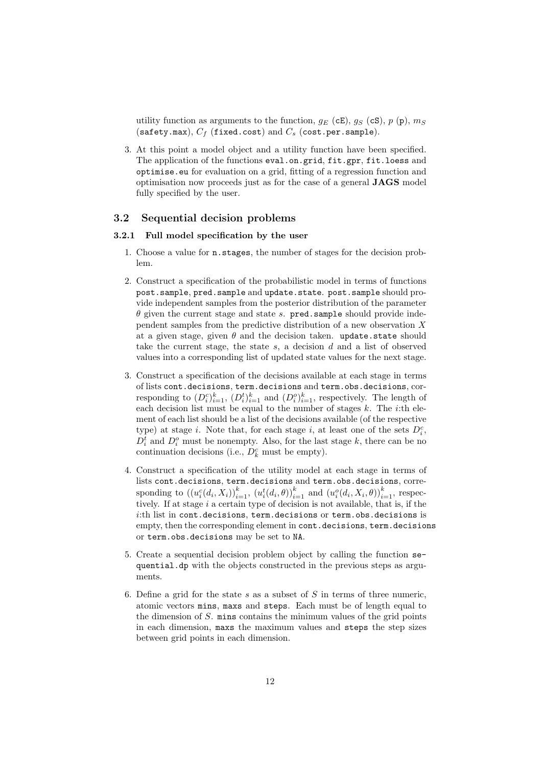utility function as arguments to the function,  $g_E$  (cE),  $g_S$  (cS),  $p$  (p),  $m_S$ (safety.max),  $C_f$  (fixed.cost) and  $C_s$  (cost.per.sample).

3. At this point a model object and a utility function have been specified. The application of the functions eval.on.grid, fit.gpr, fit.loess and optimise.eu for evaluation on a grid, fitting of a regression function and optimisation now proceeds just as for the case of a general JAGS model fully specified by the user.

#### 3.2 Sequential decision problems

#### 3.2.1 Full model specification by the user

- 1. Choose a value for n.stages, the number of stages for the decision problem.
- 2. Construct a specification of the probabilistic model in terms of functions post.sample, pred.sample and update.state. post.sample should provide independent samples from the posterior distribution of the parameter  $\theta$  given the current stage and state s. pred.sample should provide independent samples from the predictive distribution of a new observation X at a given stage, given  $\theta$  and the decision taken. update.state should take the current stage, the state s, a decision d and a list of observed values into a corresponding list of updated state values for the next stage.
- 3. Construct a specification of the decisions available at each stage in terms of lists cont.decisions, term.decisions and term.obs.decisions, corresponding to  $(D_i^c)_{i=1}^k$ ,  $(D_i^t)_{i=1}^k$  and  $(D_i^o)_{i=1}^k$ , respectively. The length of each decision list must be equal to the number of stages  $k$ . The *i*:th element of each list should be a list of the decisions available (of the respective type) at stage *i*. Note that, for each stage *i*, at least one of the sets  $D_i^c$ ,  $D_i^t$  and  $D_i^o$  must be nonempty. Also, for the last stage k, there can be no continuation decisions (i.e.,  $D_k^c$  must be empty).
- 4. Construct a specification of the utility model at each stage in terms of lists cont.decisions, term.decisions and term.obs.decisions, corresponding to  $((u_i^c(d_i, X_i))_{i=1}^k, (u_i^t(d_i, \theta))_{i=1}^k$  and  $(u_i^o(d_i, X_i, \theta))_{i=1}^k$ , respectively. If at stage  $i$  a certain type of decision is not available, that is, if the i:th list in cont.decisions, term.decisions or term.obs.decisions is empty, then the corresponding element in cont.decisions, term.decisions or term.obs.decisions may be set to NA.
- 5. Create a sequential decision problem object by calling the function sequential.dp with the objects constructed in the previous steps as arguments.
- 6. Define a grid for the state s as a subset of  $S$  in terms of three numeric, atomic vectors mins, maxs and steps. Each must be of length equal to the dimension of S. mins contains the minimum values of the grid points in each dimension, maxs the maximum values and steps the step sizes between grid points in each dimension.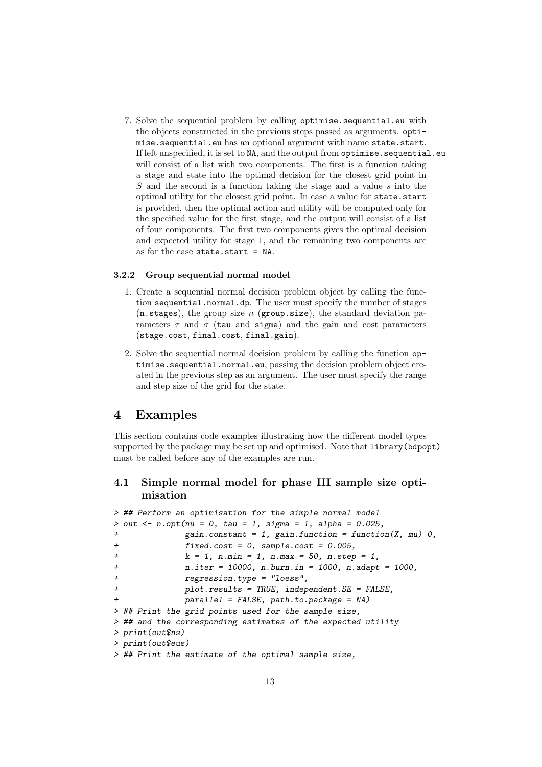7. Solve the sequential problem by calling optimise.sequential.eu with the objects constructed in the previous steps passed as arguments. optimise.sequential.eu has an optional argument with name state.start. If left unspecified, it is set to NA, and the output from optimise.sequential.eu will consist of a list with two components. The first is a function taking a stage and state into the optimal decision for the closest grid point in S and the second is a function taking the stage and a value s into the optimal utility for the closest grid point. In case a value for state.start is provided, then the optimal action and utility will be computed only for the specified value for the first stage, and the output will consist of a list of four components. The first two components gives the optimal decision and expected utility for stage 1, and the remaining two components are as for the case state.start = NA.

#### 3.2.2 Group sequential normal model

- 1. Create a sequential normal decision problem object by calling the function sequential.normal.dp. The user must specify the number of stages  $(n.stages)$ , the group size n (group.size), the standard deviation parameters  $\tau$  and  $\sigma$  (tau and sigma) and the gain and cost parameters (stage.cost, final.cost, final.gain).
- 2. Solve the sequential normal decision problem by calling the function optimise.sequential.normal.eu, passing the decision problem object created in the previous step as an argument. The user must specify the range and step size of the grid for the state.

## 4 Examples

This section contains code examples illustrating how the different model types supported by the package may be set up and optimised. Note that library(bdpopt) must be called before any of the examples are run.

## 4.1 Simple normal model for phase III sample size optimisation

```
> ## Perform an optimisation for the simple normal model
> out \leq n.opt(nu = 0, tau = 1, sigma = 1, alpha = 0.025,
+ gain.constant = 1, gain.function = function(X, mu) 0,
+ fixed.cost = 0, sample.cost = 0.005,
+ k = 1, n.min = 1, n.max = 50, n.step = 1,
+ n.iter = 10000, n.burn.in = 1000, n.adapt = 1000,
+ regression.type = "loess",
+ plot.results = TRUE, independent.SE = FALSE,
+ parallel = FALSE, path.to.package = NA)
> ## Print the grid points used for the sample size,
> ## and the corresponding estimates of the expected utility
> print(out$ns)
> print(out$eus)
> ## Print the estimate of the optimal sample size,
```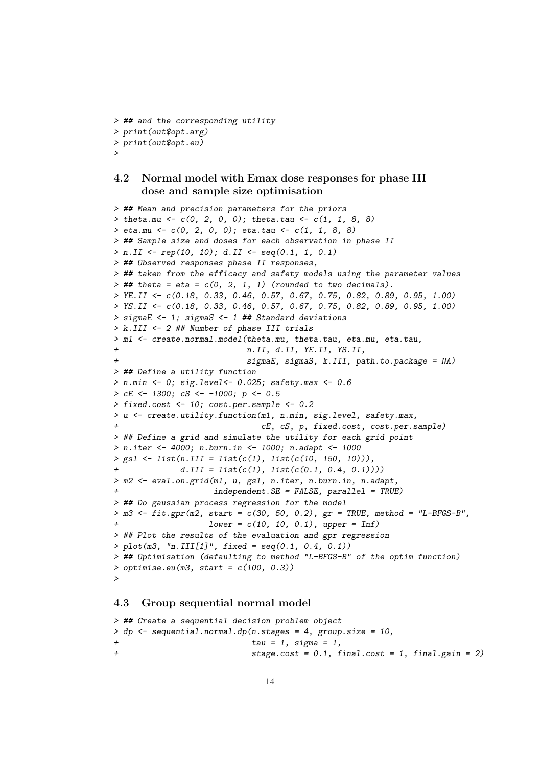```
> ## and the corresponding utility
> print(out$opt.arg)
> print(out$opt.eu)
>
```
## 4.2 Normal model with Emax dose responses for phase III dose and sample size optimisation

```
> ## Mean and precision parameters for the priors
> theta.mu <- c(0, 2, 0, 0); theta.tau <- c(1, 1, 8, 8)> eta.mu <- c(0, 2, 0, 0); eta.tau <- c(1, 1, 8, 8)
> ## Sample size and doses for each observation in phase II
> n.II \leq rep(10, 10); d.II \leq seq(0.1, 1, 0.1)> ## Observed responses phase II responses,
> ## taken from the efficacy and safety models using the parameter values
\rightarrow ## theta = eta = c(0, 2, 1, 1) (rounded to two decimals).
> YE.II <- c(0.18, 0.33, 0.46, 0.57, 0.67, 0.75, 0.82, 0.89, 0.95, 1.00)
> YS.II <- c(0.18, 0.33, 0.46, 0.57, 0.67, 0.75, 0.82, 0.89, 0.95, 1.00)
> sigmaE <- 1; sigmaS <- 1 ## Standard deviations
> k.III <- 2 ## Number of phase III trials
> m1 <- create.normal.model(theta.mu, theta.tau, eta.mu, eta.tau,
                            n.II, d.II, YE.II, YS.II,
                            signaE, signaS, k.III, path.to.package = NA)> ## Define a utility function
> n.min \le 0; sig.level <- 0.025; safety.max <- 0.6
> cE <- 1300; cS <- -1000; p <- 0.5
> fixed.cost <- 10; cost.per.sample <- 0.2
> u <- create.utility.function(m1, n.min, sig.level, safety.max,
                               cE, cS, p, fixed.cost, cost.per.sample)
> ## Define a grid and simulate the utility for each grid point
> n.iter <- 4000; n.burn.in <- 1000; n.adapt <- 1000
> gsl <- list(n.III = list(c(1), list(c(10, 150, 10))),
              d.III = list(c(1), list(c(0.1, 0.4, 0.1))))> m2 <- eval.on.grid(m1, u, gsl, n.iter, n.burn.in, n.adapt,
                     independent.SE = FALSE, parallel = TRUE)> ## Do gaussian process regression for the model
> m3 \lt fit.gpr(m2, start = c(30, 50, 0.2), gr = TRUE, method = "L-BFGS-B",
                    lower = c(10, 10, 0.1), upper = Inf)> ## Plot the results of the evaluation and gpr regression
> plot(m3, "n.III[1]", fixed = seq(0.1, 0.4, 0.1))
> ## Optimisation (defaulting to method "L-BFGS-B" of the optim function)
> optimise.eu(m3, start = c(100, 0.3))
>
```
## 4.3 Group sequential normal model

```
> ## Create a sequential decision problem object
> dp <- sequential.normal.dp(n.stages = 4, group.size = 10,
+ tau = 1, sigma = 1,
+ stage.cost = 0.1, final.cost = 1, final.gain = 2)
```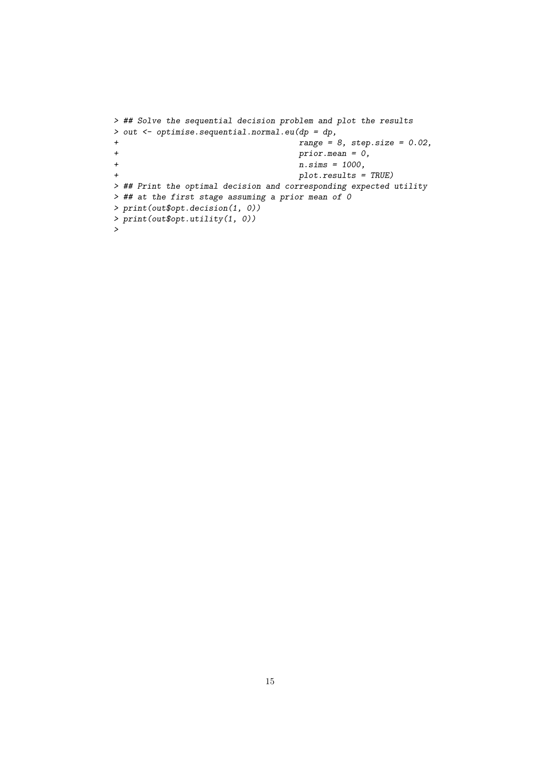```
> ## Solve the sequential decision problem and plot the results
> out <- optimise.sequential.normal.eu(dp = dp,
+ range = 8, step.size = 0.02,
+ \frac{1}{1} prior.mean = 0, n \sin s = 1000,
+ n \sin s = 1000,<br>+ plot. results =plot. results = TRUE)
> ## Print the optimal decision and corresponding expected utility
> ## at the first stage assuming a prior mean of 0
> print(out$opt.decision(1, 0))
> print(out$opt.utility(1, 0))
>
```